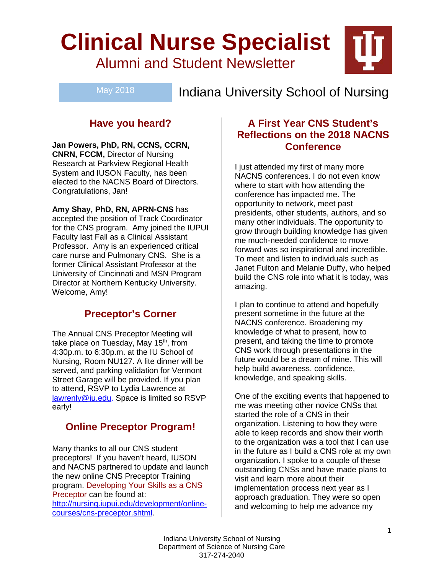# **Clinical Nurse Specialist** Alumni and Student Newsletter

May 2018

Indiana University School of Nursing

# **Have you heard?**

**Jan Powers, PhD, RN, CCNS, CCRN, CNRN, FCCM,** Director of Nursing Research at Parkview Regional Health System and IUSON Faculty, has been elected to the NACNS Board of Directors. Congratulations, Jan!

**Amy Shay, PhD, RN, APRN-CNS** has accepted the position of Track Coordinator for the CNS program. Amy joined the IUPUI Faculty last Fall as a Clinical Assistant Professor. Amy is an experienced critical care nurse and Pulmonary CNS. She is a former Clinical Assistant Professor at the University of Cincinnati and MSN Program Director at Northern Kentucky University. Welcome, Amy!

# **Preceptor's Corner**

The Annual CNS Preceptor Meeting will take place on Tuesday, May 15<sup>th</sup>, from 4:30p.m. to 6:30p.m. at the IU School of Nursing, Room NU127. A lite dinner will be served, and parking validation for Vermont Street Garage will be provided. If you plan to attend, RSVP to Lydia Lawrence at lawrenly@iu.edu. Space is limited so RSVP early!

# **Online Preceptor Program!**

Many thanks to all our CNS student preceptors! If you haven't heard, IUSON and NACNS partnered to update and launch the new online CNS Preceptor Training program. Developing Your Skills as a CNS Preceptor can be found at: http://nursing.iupui.edu/development/onlinecourses/cns-preceptor.shtml.

## **A First Year CNS Student's Reflections on the 2018 NACNS Conference**

I just attended my first of many more NACNS conferences. I do not even know where to start with how attending the conference has impacted me. The opportunity to network, meet past presidents, other students, authors, and so many other individuals. The opportunity to grow through building knowledge has given me much-needed confidence to move forward was so inspirational and incredible. To meet and listen to individuals such as Janet Fulton and Melanie Duffy, who helped build the CNS role into what it is today, was amazing.

I plan to continue to attend and hopefully present sometime in the future at the NACNS conference. Broadening my knowledge of what to present, how to present, and taking the time to promote CNS work through presentations in the future would be a dream of mine. This will help build awareness, confidence, knowledge, and speaking skills.

One of the exciting events that happened to me was meeting other novice CNSs that started the role of a CNS in their organization. Listening to how they were able to keep records and show their worth to the organization was a tool that I can use in the future as I build a CNS role at my own organization. I spoke to a couple of these outstanding CNSs and have made plans to visit and learn more about their implementation process next year as I approach graduation. They were so open and welcoming to help me advance my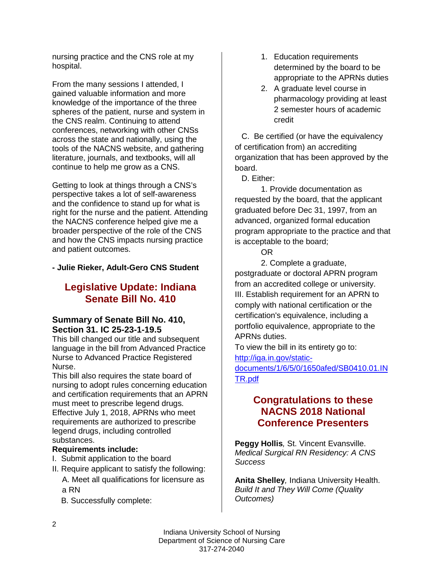nursing practice and the CNS role at my hospital.

From the many sessions I attended, I gained valuable information and more knowledge of the importance of the three spheres of the patient, nurse and system in the CNS realm. Continuing to attend conferences, networking with other CNSs across the state and nationally, using the tools of the NACNS website, and gathering literature, journals, and textbooks, will all continue to help me grow as a CNS.

Getting to look at things through a CNS's perspective takes a lot of self-awareness and the confidence to stand up for what is right for the nurse and the patient. Attending the NACNS conference helped give me a broader perspective of the role of the CNS and how the CNS impacts nursing practice and patient outcomes.

#### **- Julie Rieker, Adult-Gero CNS Student**

## **Legislative Update: Indiana Senate Bill No. 410**

#### **Summary of Senate Bill No. 410, Section 31. IC 25-23-1-19.5**

This bill changed our title and subsequent language in the bill from Advanced Practice Nurse to Advanced Practice Registered Nurse.

This bill also requires the state board of nursing to adopt rules concerning education and certification requirements that an APRN must meet to prescribe legend drugs. Effective July 1, 2018, APRNs who meet requirements are authorized to prescribe legend drugs, including controlled substances.

#### **Requirements include:**

- I. Submit application to the board
- II. Require applicant to satisfy the following: A. Meet all qualifications for licensure as
	- a RN
	- B. Successfully complete:
- 1. Education requirements determined by the board to be appropriate to the APRNs duties
- 2. A graduate level course in pharmacology providing at least 2 semester hours of academic credit

 C. Be certified (or have the equivalency of certification from) an accrediting organization that has been approved by the board.

D. Either:

1. Provide documentation as requested by the board, that the applicant graduated before Dec 31, 1997, from an advanced, organized formal education program appropriate to the practice and that is acceptable to the board;

OR

2. Complete a graduate, postgraduate or doctoral APRN program from an accredited college or university. III. Establish requirement for an APRN to comply with national certification or the certification's equivalence, including a portfolio equivalence, appropriate to the APRNs duties.

To view the bill in its entirety go to: http://iga.in.gov/static-

documents/1/6/5/0/1650afed/SB0410.01.IN TR.pdf

## **Congratulations to these NACNS 2018 National Conference Presenters**

**Peggy Hollis***,* St. Vincent Evansville. *Medical Surgical RN Residency: A CNS Success*

**Anita Shelley***,* Indiana University Health. *Build It and They Will Come (Quality Outcomes)*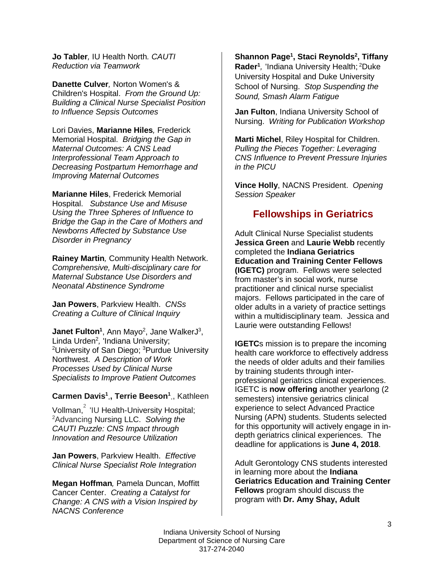**Jo Tabler***,* IU Health North*. CAUTI Reduction via Teamwork*

**Danette Culver***,* Norton Women's & Children's Hospital. *From the Ground Up: Building a Clinical Nurse Specialist Position to Influence Sepsis Outcomes*

Lori Davies, **Marianne Hiles***,* Frederick Memorial Hospital. *Bridging the Gap in Maternal Outcomes: A CNS Lead Interprofessional Team Approach to Decreasing Postpartum Hemorrhage and Improving Maternal Outcomes* 

**Marianne Hiles**, Frederick Memorial Hospital. *Substance Use and Misuse Using the Three Spheres of Influence to Bridge the Gap in the Care of Mothers and Newborns Affected by Substance Use Disorder in Pregnancy*

**Rainey Martin***,* Community Health Network. *Comprehensive, Multi-disciplinary care for Maternal Substance Use Disorders and Neonatal Abstinence Syndrome*

**Jan Powers**, Parkview Health. *CNSs Creating a Culture of Clinical Inquiry* 

**Janet Fulton<sup>1</sup>**, Ann Mayo<sup>2</sup>, Jane WalkerJ<sup>3</sup>, Linda Urden2 *,* 'Indiana University; <sup>2</sup>University of San Diego; <sup>3</sup>Purdue University Northwest. *A Description of Work Processes Used by Clinical Nurse Specialists to Improve Patient Outcomes* 

**Carmen Davis1 ', Terrie Beeson1 '**, Kathleen

Vollman,<sup>2</sup> 'IU Health-University Hospital; 2 Advancing Nursing LLC. *Solving the CAUTI Puzzle: CNS Impact through Innovation and Resource Utilization*

**Jan Powers**, Parkview Health. *Effective Clinical Nurse Specialist Role Integration*

**Megan Hoffman***,* Pamela Duncan, Moffitt Cancer Center. *Creating a Catalyst for Change: A CNS with a Vision Inspired by NACNS Conference* 

**Shannon Page1 , Staci Reynolds2 , Tiffany**  Rader<sup>1</sup>, 'Indiana University Health; <sup>2</sup>Duke University Hospital and Duke University School of Nursing. *Stop Suspending the Sound, Smash Alarm Fatigue* 

**Jan Fulton**, Indiana University School of Nursing. *Writing for Publication Workshop*

**Marti Michel**, Riley Hospital for Children. *Pulling the Pieces Together: Leveraging CNS Influence to Prevent Pressure Injuries in the PICU*

**Vince Holly**, NACNS President. *Opening Session Speaker*

## **Fellowships in Geriatrics**

Adult Clinical Nurse Specialist students **Jessica Green** and **Laurie Webb** recently completed the **Indiana Geriatrics Education and Training Center Fellows (IGETC)** program. Fellows were selected from master's in social work, nurse practitioner and clinical nurse specialist majors. Fellows participated in the care of older adults in a variety of practice settings within a multidisciplinary team. Jessica and Laurie were outstanding Fellows!

**IGETC**s mission is to prepare the incoming health care workforce to effectively address the needs of older adults and their families by training students through interprofessional geriatrics clinical experiences. IGETC is **now offering** another yearlong (2 semesters) intensive geriatrics clinical experience to select Advanced Practice Nursing (APN) students. Students selected for this opportunity will actively engage in indepth geriatrics clinical experiences. The deadline for applications is **June 4, 2018**.

Adult Gerontology CNS students interested in learning more about the **Indiana Geriatrics Education and Training Center Fellows** program should discuss the program with **Dr. Amy Shay, Adult**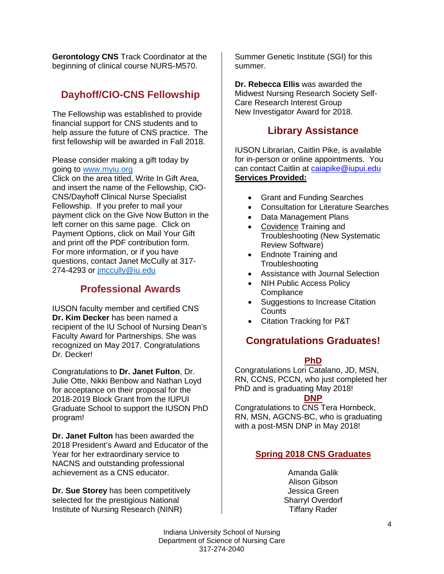**Gerontology CNS** Track Coordinator at the beginning of clinical course NURS-M570.

# **Dayhoff/CIO-CNS Fellowship**

The Fellowship was established to provide financial support for CNS students and to help assure the future of CNS practice. The first fellowship will be awarded in Fall 2018.

Please consider making a gift today by going to www.myiu.org

Click on the area titled, Write In Gift Area, and insert the name of the Fellowship, CIO-CNS/Dayhoff Clinical Nurse Specialist Fellowship. If you prefer to mail your payment click on the Give Now Button in the left corner on this same page. Click on Payment Options, click on Mail Your Gift and print off the PDF contribution form. For more information, or if you have questions, contact Janet McCully at 317- 274-4293 or jmccully@iu.edu

## **Professional Awards**

IUSON faculty member and certified CNS **Dr. Kim Decker** has been named a recipient of the IU School of Nursing Dean's Faculty Award for Partnerships. She was recognized on May 2017. Congratulations Dr. Decker!

Congratulations to **Dr. Janet Fulton**, Dr. Julie Otte, Nikki Benbow and Nathan Loyd for acceptance on their proposal for the 2018-2019 Block Grant from the IUPUI Graduate School to support the IUSON PhD program!

**Dr. Janet Fulton** has been awarded the 2018 President's Award and Educator of the Year for her extraordinary service to NACNS and outstanding professional achievement as a CNS educator.

**Dr. Sue Storey** has been competitively selected for the prestigious National Institute of Nursing Research (NINR)

Summer Genetic Institute (SGI) for this summer.

**Dr. Rebecca Ellis** was awarded the Midwest Nursing Research Society Self-Care Research Interest Group New Investigator Award for 2018.

## **Library Assistance**

IUSON Librarian, Caitlin Pike, is available for in-person or online appointments. You can contact Caitlin at caiapike@iupui.edu **Services Provided:**

- Grant and Funding Searches
- Consultation for Literature Searches
- Data Management Plans
- Covidence Training and Troubleshooting (New Systematic Review Software)
- Endnote Training and **Troubleshooting**
- Assistance with Journal Selection
- **NIH Public Access Policy Compliance**
- Suggestions to Increase Citation **Counts**
- Citation Tracking for P&T

## **Congratulations Graduates!**

#### **PhD**

Congratulations Lori Catalano, JD, MSN, RN, CCNS, PCCN, who just completed her PhD and is graduating May 2018!

#### **DNP**

Congratulations to CNS Tera Hornbeck, RN, MSN, AGCNS-BC, who is graduating with a post-MSN DNP in May 2018!

#### **Spring 2018 CNS Graduates**

Amanda Galik Alison Gibson Jessica Green Sharryl Overdorf Tiffany Rader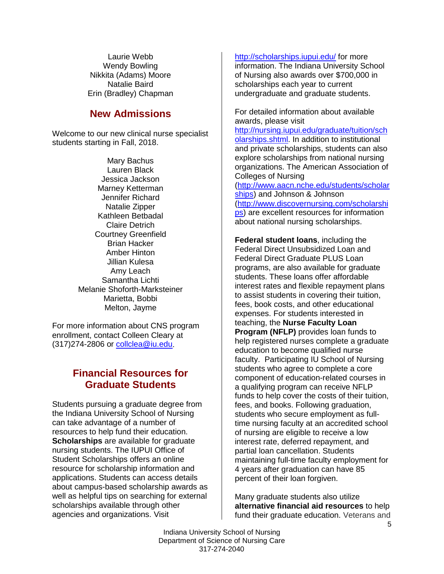Laurie Webb Wendy Bowling Nikkita (Adams) Moore Natalie Baird Erin (Bradley) Chapman

## **New Admissions**

Welcome to our new clinical nurse specialist students starting in Fall, 2018.

> Mary Bachus Lauren Black Jessica Jackson Marney Ketterman Jennifer Richard Natalie Zipper Kathleen Betbadal Claire Detrich Courtney Greenfield Brian Hacker Amber Hinton Jillian Kulesa Amy Leach Samantha Lichti Melanie Shoforth-Marksteiner Marietta, Bobbi Melton, Jayme

For more information about CNS program enrollment, contact Colleen Cleary at (317)274-2806 or collclea@iu.edu.

# **Financial Resources for Graduate Students**

Students pursuing a graduate degree from the Indiana University School of Nursing can take advantage of a number of resources to help fund their education. **Scholarships** are available for graduate nursing students. The IUPUI Office of Student Scholarships offers an online resource for scholarship information and applications. Students can access details about campus-based scholarship awards as well as helpful tips on searching for external scholarships available through other agencies and organizations. Visit

http://scholarships.iupui.edu/ for more information. The Indiana University School of Nursing also awards over \$700,000 in scholarships each year to current undergraduate and graduate students.

For detailed information about available awards, please visit http://nursing.iupui.edu/graduate/tuition/sch olarships.shtml. In addition to institutional and private scholarships, students can also explore scholarships from national nursing organizations. The American Association of Colleges of Nursing (http://www.aacn.nche.edu/students/scholar ships) and Johnson & Johnson (http://www.discovernursing.com/scholarshi ps) are excellent resources for information about national nursing scholarships.

**Federal student loans**, including the Federal Direct Unsubsidized Loan and Federal Direct Graduate PLUS Loan programs, are also available for graduate students. These loans offer affordable interest rates and flexible repayment plans to assist students in covering their tuition, fees, book costs, and other educational expenses. For students interested in teaching, the **Nurse Faculty Loan Program (NFLP)** provides loan funds to help registered nurses complete a graduate education to become qualified nurse faculty. Participating IU School of Nursing students who agree to complete a core component of education-related courses in a qualifying program can receive NFLP funds to help cover the costs of their tuition, fees, and books. Following graduation, students who secure employment as fulltime nursing faculty at an accredited school of nursing are eligible to receive a low interest rate, deferred repayment, and partial loan cancellation. Students maintaining full-time faculty employment for 4 years after graduation can have 85 percent of their loan forgiven.

Many graduate students also utilize **alternative financial aid resources** to help fund their graduate education. Veterans and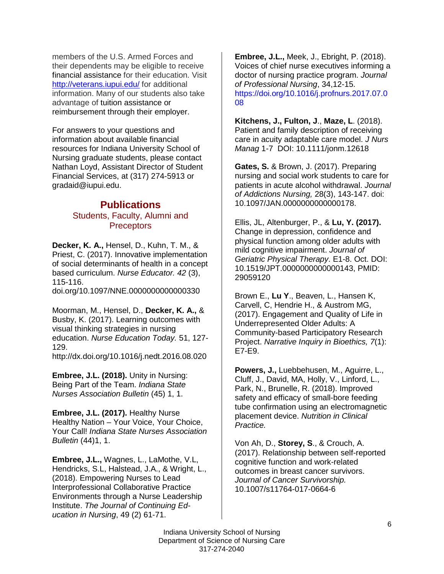members of the U.S. Armed Forces and their dependents may be eligible to receive financial assistance for their education. Visit http://veterans.iupui.edu/ for additional information. Many of our students also take advantage of tuition assistance or reimbursement through their employer.

For answers to your questions and information about available financial resources for Indiana University School of Nursing graduate students, please contact Nathan Loyd, Assistant Director of Student Financial Services, at (317) 274-5913 or gradaid@iupui.edu.

#### **Publications** Students, Faculty, Alumni and **Preceptors**

**Decker, K. A.,** Hensel, D., Kuhn, T. M., & Priest, C. (2017). Innovative implementation of social determinants of health in a concept based curriculum. *Nurse Educator. 42* (3), 115-116.

doi.org/10.1097/NNE.0000000000000330

Moorman, M., Hensel, D., **Decker, K. A.,** & Busby, K. (2017). Learning outcomes with visual thinking strategies in nursing education. *Nurse Education Today.* 51, 127- 129. http://dx.doi.org/10.1016/j.nedt.2016.08.020

**Embree, J.L. (2018).** Unity in Nursing: Being Part of the Team. *Indiana State Nurses Association Bulletin* (45) 1, 1.

**Embree, J.L. (2017).** Healthy Nurse Healthy Nation – Your Voice, Your Choice, Your Call! *Indiana State Nurses Association Bulletin* (44)1, 1.

**Embree, J.L.,** Wagnes, L., LaMothe, V.L, Hendricks, S.L, Halstead, J.A., & Wright, L., (2018). Empowering Nurses to Lead Interprofessional Collaborative Practice Environments through a Nurse Leadership Institute. *The Journal of Continuing Education in Nursing*, 49 (2) 61-71.

**Embree, J.L.,** Meek, J., Ebright, P. (2018). Voices of chief nurse executives informing a doctor of nursing practice program. *Journal of Professional Nursing*, 34,12-15. https://doi.org/10.1016/j.profnurs.2017.07.0 08

**Kitchens, J., Fulton, J**., **Maze, L**. (2018). Patient and family description of receiving care in acuity adaptable care model. *J Nurs Manag* 1-7 DOI: 10.1111/jonm.12618

**Gates, S.** & Brown, J. (2017). Preparing nursing and social work students to care for patients in acute alcohol withdrawal. *Journal of Addictions Nursing,* 28(3), 143-147. doi: 10.1097/JAN.0000000000000178.

Ellis, JL, Altenburger, P., & **Lu, Y. (2017).**  Change in depression, confidence and physical function among older adults with mild cognitive impairment. *Journal of Geriatric Physical Therapy*. E1-8. Oct. DOI: 10.1519/JPT.0000000000000143, PMID: 29059120

Brown E., **Lu Y**., Beaven, L., Hansen K, Carvell, C, Hendrie H., & Austrom MG, (2017). Engagement and Quality of Life in Underrepresented Older Adults: A Community-based Participatory Research Project. *Narrative Inquiry in Bioethics, 7*(1): E7-E9.

**Powers, J.,** Luebbehusen, M., Aguirre, L., Cluff, J., David, MA, Holly, V., Linford, L., Park, N., Brunelle, R. (2018). Improved safety and efficacy of small-bore feeding tube confirmation using an electromagnetic placement device. *Nutrition in Clinical Practice.*

Von Ah, D., **Storey, S**., & Crouch, A. (2017). Relationship between self-reported cognitive function and work-related outcomes in breast cancer survivors. *Journal of Cancer Survivorship.* 10.1007/s11764-017-0664-6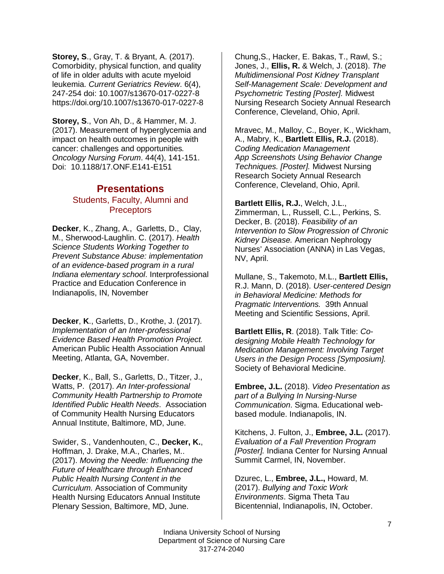**Storey, S**., Gray, T. & Bryant, A. (2017). Comorbidity, physical function, and quality of life in older adults with acute myeloid leukemia. *Current Geriatrics Review*. 6(4), 247-254 doi: 10.1007/s13670-017-0227-8 https://doi.org/10.1007/s13670-017-0227-8

**Storey, S**., Von Ah, D., & Hammer, M. J. (2017). Measurement of hyperglycemia and impact on health outcomes in people with cancer: challenges and opportunities*. Oncology Nursing Forum*. 44(4), 141-151. Doi: 10.1188/17.ONF.E141-E151

#### **Presentations** Students, Faculty, Alumni and **Preceptors**

**Decker**, K., Zhang, A., Garletts, D., Clay, M., Sherwood-Laughlin. C. (2017). *Health Science Students Working Together to Prevent Substance Abuse: implementation of an evidence-based program in a rural Indiana elementary school*. Interprofessional Practice and Education Conference in Indianapolis, IN, November

**Decker**, **K**., Garletts, D., Krothe, J. (2017). *Implementation of an Inter-professional Evidence Based Health Promotion Project.* American Public Health Association Annual Meeting, Atlanta, GA, November.

**Decker**, K., Ball, S., Garletts, D., Titzer, J., Watts, P. (2017). *An Inter-professional Community Health Partnership to Promote Identified Public Health Needs*. Association of Community Health Nursing Educators Annual Institute, Baltimore, MD, June.

Swider, S., Vandenhouten, C., **Decker, K.**, Hoffman, J. Drake, M.A., Charles, M.. (2017). *Moving the Needle: Influencing the Future of Healthcare through Enhanced Public Health Nursing Content in the Curriculum.* Association of Community Health Nursing Educators Annual Institute Plenary Session, Baltimore, MD, June.

Chung,S., Hacker, E. Bakas, T., Rawl, S.; Jones, J., **Ellis, R.** & Welch, J. (2018). *The Multidimensional Post Kidney Transplant Self-Management Scale: Development and Psychometric Testing [Poster].* Midwest Nursing Research Society Annual Research Conference, Cleveland, Ohio, April.

Mravec, M., Malloy, C., Boyer, K., Wickham, A., Mabry, K., **Bartlett Ellis, R.J.** (2018). *Coding Medication Management App Screenshots Using Behavior Change Techniques. [Poster].* Midwest Nursing Research Society Annual Research Conference, Cleveland, Ohio, April.

**Bartlett Ellis, R.J.**, Welch, J.L., Zimmerman, L., Russell, C.L., Perkins, S. Decker, B. (2018). *Feasibility of an Intervention to Slow Progression of Chronic Kidney Disease.* American Nephrology Nurses' Association (ANNA) in Las Vegas, NV, April.

Mullane, S., Takemoto, M.L., **Bartlett Ellis,** R.J. Mann, D. (2018). *User-centered Design in Behavioral Medicine: Methods for Pragmatic Interventions.* 39th Annual Meeting and Scientific Sessions, April.

**Bartlett Ellis, R**. (2018). Talk Title: *Codesigning Mobile Health Technology for Medication Management: Involving Target Users in the Design Process [Symposium].*  Society of Behavioral Medicine.

**Embree, J.L.** (2018). *Video Presentation as part of a Bullying In Nursing-Nurse Communication*. Sigma. Educational webbased module. Indianapolis, IN.

Kitchens, J. Fulton, J., **Embree, J.L.** (2017). *Evaluation of a Fall Prevention Program [Poster].* Indiana Center for Nursing Annual Summit Carmel, IN, November.

Dzurec, L., **Embree, J.L.,** Howard, M. (2017). *Bullying and Toxic Work Environments*. Sigma Theta Tau Bicentennial, Indianapolis, IN, October.